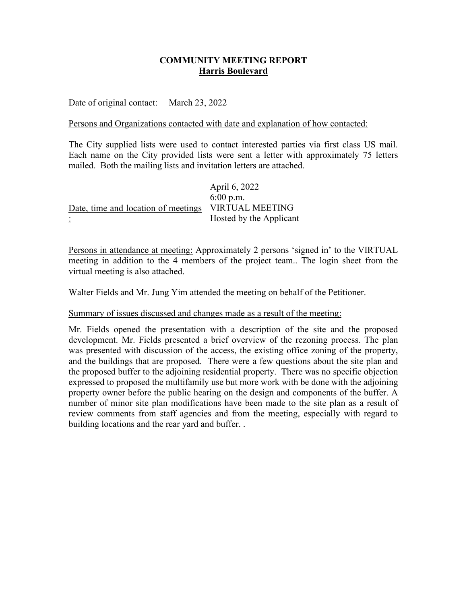# **COMMUNITY MEETING REPORT Harris Boulevard**

Date of original contact: March 23, 2022

# Persons and Organizations contacted with date and explanation of how contacted:

The City supplied lists were used to contact interested parties via first class US mail. Each name on the City provided lists were sent a letter with approximately 75 letters mailed. Both the mailing lists and invitation letters are attached.

April 6, 2022 6:00 p.m. VIRTUAL MEETING Hosted by the Applicant Date, time and location of meetings :

Persons in attendance at meeting: Approximately 2 persons 'signed in' to the VIRTUAL meeting in addition to the 4 members of the project team.. The login sheet from the virtual meeting is also attached.

Walter Fields and Mr. Jung Yim attended the meeting on behalf of the Petitioner.

## Summary of issues discussed and changes made as a result of the meeting:

Mr. Fields opened the presentation with a description of the site and the proposed development. Mr. Fields presented a brief overview of the rezoning process. The plan was presented with discussion of the access, the existing office zoning of the property, and the buildings that are proposed. There were a few questions about the site plan and the proposed buffer to the adjoining residential property. There was no specific objection expressed to proposed the multifamily use but more work with be done with the adjoining property owner before the public hearing on the design and components of the buffer. A number of minor site plan modifications have been made to the site plan as a result of review comments from staff agencies and from the meeting, especially with regard to building locations and the rear yard and buffer. .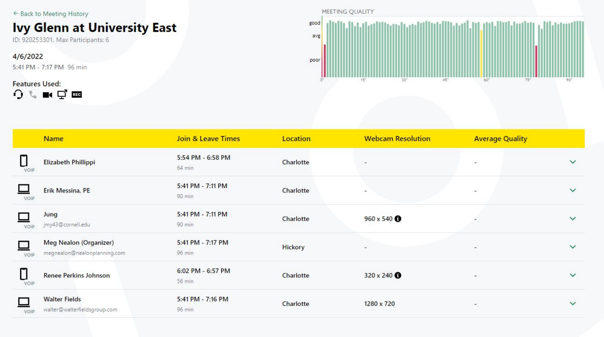← Back to Meeting History

# **Ivy Glenn at University East**

ID: 920253301, Max Participants: 6

4/6/2022 5:41 PM - 7:17 PM 96 min

**Features Used:**  $0.111$ 



|      | <b>Name</b>                                            | <b>Join &amp; Leave Times</b> | Location       | <b>Webcam Resolution</b> | <b>Average Quality</b>   |              |
|------|--------------------------------------------------------|-------------------------------|----------------|--------------------------|--------------------------|--------------|
| VOIP | Elizabeth Phillippi                                    | 5:54 PM - 6:58 PM<br>64 min   | Charlotte      | $\overline{\phantom{a}}$ | ×.                       | $\checkmark$ |
| VOIP | Erik Messina, PE                                       | 5:41 PM - 7:11 PM<br>90 min   | Charlotte      | $\overline{\phantom{a}}$ | ÷                        | $\checkmark$ |
| VOIP | Jung<br>jmy43@cornell.edu                              | 5:41 PM - 7:11 PM<br>90 min   | Charlotte      | 960 x 540 <b>O</b>       | $\overline{\phantom{a}}$ | $\checkmark$ |
| VOIP | Meg Nealon (Organizer)<br>megnealon@nealonplanning.com | 5:41 PM - 7:17 PM<br>96 min   | <b>Hickory</b> | $\overline{\phantom{a}}$ | $\overline{\phantom{a}}$ | $\checkmark$ |
| VOIP | <b>Renee Perkins Johnson</b>                           | 6:02 PM - 6:57 PM<br>56 min   | Charlotte      | 320 x 240 <b>O</b>       | $\overline{\phantom{a}}$ | $\checkmark$ |
| VOIP | <b>Walter Fields</b><br>walter@walterfieldsgroup.com   | 5:41 PM - 7:16 PM<br>96 min   | Charlotte      | 1280 x 720               | $\overline{\phantom{a}}$ | $\checkmark$ |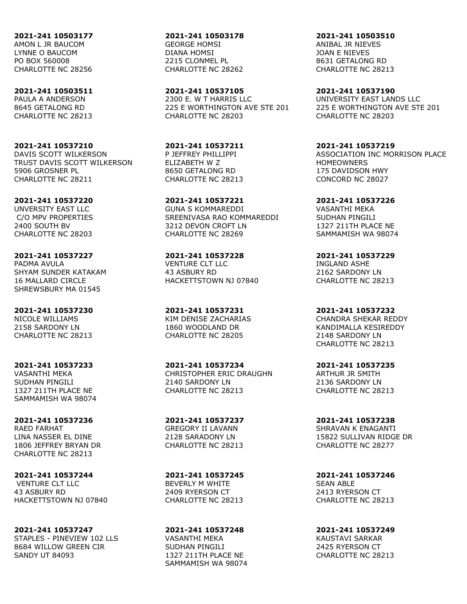**2021-241 10503177** AMON L JR BAUCOM LYNNE O BAUCOM PO BOX 560008 CHARLOTTE NC 28256

**2021-241 10503511** PAULA A ANDERSON 8645 GETALONG RD CHARLOTTE NC 28213

**2021-241 10537210** DAVIS SCOTT WILKERSON TRUST DAVIS SCOTT WILKERSON 5906 GROSNER PL CHARLOTTE NC 28211

**2021-241 10537220** UNVERSITY EAST LLC C/O MPV PROPERTIES 2400 SOUTH BV CHARLOTTE NC 28203

**2021-241 10537227** PADMA AVULA SHYAM SUNDER KATAKAM 16 MALLARD CIRCLE SHREWSBURY MA 01545

**2021-241 10537230** NICOLE WILLIAMS 2158 SARDONY LN CHARLOTTE NC 28213

**2021-241 10537233** VASANTHI MEKA SUDHAN PINGILI 1327 211TH PLACE NE SAMMAMISH WA 98074

**2021-241 10537236** RAED FARHAT LINA NASSER EL DINE 1806 JEFFREY BRYAN DR CHARLOTTE NC 28213

**2021-241 10537244** VENTURE CLT LLC 43 ASBURY RD HACKETTSTOWN NJ 07840

**2021-241 10537247** STAPLES - PINEVIEW 102 LLS 8684 WILLOW GREEN CIR SANDY UT 84093

**2021-241 10503178** GEORGE HOMSI DIANA HOMSI 2215 CLONMEL PL CHARLOTTE NC 28262

**2021-241 10537105** 2300 F. W T HARRIS LLC 225 E WORTHINGTON AVE STE 201 CHARLOTTE NC 28203

**2021-241 10537211** P JEFFREY PHILLIPPI ELIZABETH W Z 8650 GETALONG RD CHARLOTTE NC 28213

**2021-241 10537221** GUNA S KOMMAREDDI SREENIVASA RAO KOMMAREDDI 3212 DEVON CROFT LN CHARLOTTE NC 28269

**2021-241 10537228** VENTURE CLT LLC 43 ASBURY RD HACKETTSTOWN NJ 07840

**2021-241 10537231** KIM DENISE ZACHARIAS 1860 WOODLAND DR CHARLOTTE NC 28205

**2021-241 10537234** CHRISTOPHER ERIC DRAUGHN 2140 SARDONY LN CHARLOTTE NC 28213

**2021-241 10537237** GREGORY II LAVANN 2128 SARADONY LN CHARLOTTE NC 28213

**2021-241 10537245** BEVERLY M WHITE 2409 RYERSON CT CHARLOTTE NC 28213

**2021-241 10537248** VASANTHI MEKA SUDHAN PINGILI 1327 211TH PLACE NE SAMMAMISH WA 98074

**2021-241 10503510** ANIBAL JR NIEVES JOAN E NIEVES 8631 GETALONG RD

CHARLOTTE NC 28213

**2021-241 10537190** UNIVERSITY EAST LANDS LLC 225 E WORTHINGTON AVE STE 201 CHARLOTTE NC 28203

**2021-241 10537219** ASSOCIATION INC MORRISON PLACE HOMEOWNERS 175 DAVIDSON HWY CONCORD NC 28027

**2021-241 10537226** VASANTHI MEKA SUDHAN PINGILI 1327 211TH PLACE NE SAMMAMISH WA 98074

**2021-241 10537229** INGLAND ASHE 2162 SARDONY LN CHARLOTTE NC 28213

**2021-241 10537232** CHANDRA SHEKAR REDDY KANDIMALLA KESIREDDY 2148 SARDONY LN CHARLOTTE NC 28213

**2021-241 10537235** ARTHUR JR SMITH 2136 SARDONY LN CHARLOTTE NC 28213

**2021-241 10537238** SHRAVAN K ENAGANTI 15822 SULLIVAN RIDGE DR CHARLOTTE NC 28277

**2021-241 10537246** SEAN ABLE 2413 RYERSON CT CHARLOTTE NC 28213

**2021-241 10537249** KAUSTAVI SARKAR 2425 RYERSON CT CHARLOTTE NC 28213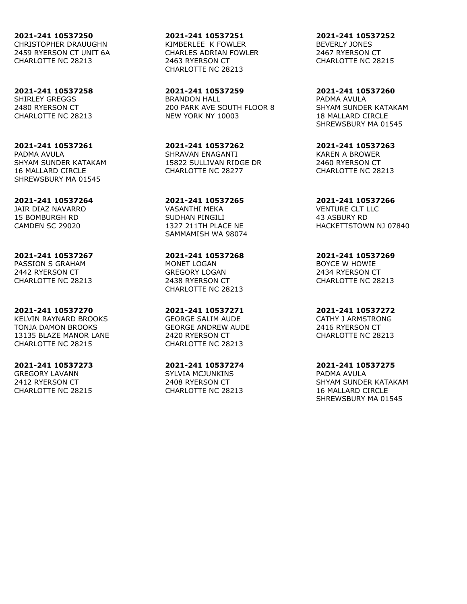**2021-241 10537250** CHRISTOPHER DRAUUGHN 2459 RYERSON CT UNIT 6A CHARLOTTE NC 28213

**2021-241 10537258** SHIRLEY GREGGS 2480 RYERSON CT CHARLOTTE NC 28213

**2021-241 10537261** PADMA AVULA SHYAM SUNDER KATAKAM 16 MALLARD CIRCLE SHREWSBURY MA 01545

**2021-241 10537264** JAIR DIAZ NAVARRO 15 BOMBURGH RD CAMDEN SC 29020

**2021-241 10537267** PASSION S GRAHAM 2442 RYERSON CT CHARLOTTE NC 28213

**2021-241 10537270** KELVIN RAYNARD BROOKS TONJA DAMON BROOKS 13135 BLAZE MANOR LANE CHARLOTTE NC 28215

**2021-241 10537273** GREGORY LAVANN 2412 RYERSON CT CHARLOTTE NC 28215

**2021-241 10537251** KIMBERLEE K FOWLER CHARLES ADRIAN FOWLER 2463 RYERSON CT CHARLOTTE NC 28213

**2021-241 10537259** BRANDON HALL 200 PARK AVE SOUTH FLOOR 8 NEW YORK NY 10003

**2021-241 10537262** SHRAVAN ENAGANTI 15822 SULLIVAN RIDGE DR CHARLOTTE NC 28277

**2021-241 10537265** VASANTHI MEKA SUDHAN PINGILI 1327 211TH PLACE NE SAMMAMISH WA 98074

**2021-241 10537268** MONET LOGAN GREGORY LOGAN 2438 RYERSON CT CHARLOTTE NC 28213

**2021-241 10537271** GEORGE SALIM AUDE GEORGE ANDREW AUDE 2420 RYERSON CT CHARLOTTE NC 28213

**2021-241 10537274** SYLVIA MCJUNKINS 2408 RYERSON CT CHARLOTTE NC 28213

**2021-241 10537252** BEVERLY JONES 2467 RYERSON CT CHARLOTTE NC 28215

**2021-241 10537260** PADMA AVULA SHYAM SUNDER KATAKAM 18 MALLARD CIRCLE SHREWSBURY MA 01545

**2021-241 10537263** KAREN A BROWER 2460 RYERSON CT CHARLOTTE NC 28213

**2021-241 10537266** VENTURE CLT LLC 43 ASBURY RD HACKETTSTOWN NJ 07840

**2021-241 10537269** BOYCE W HOWIE 2434 RYERSON CT CHARLOTTE NC 28213

**2021-241 10537272** CATHY J ARMSTRONG 2416 RYERSON CT CHARLOTTE NC 28213

**2021-241 10537275** PADMA AVULA SHYAM SUNDER KATAKAM 16 MALLARD CIRCLE SHREWSBURY MA 01545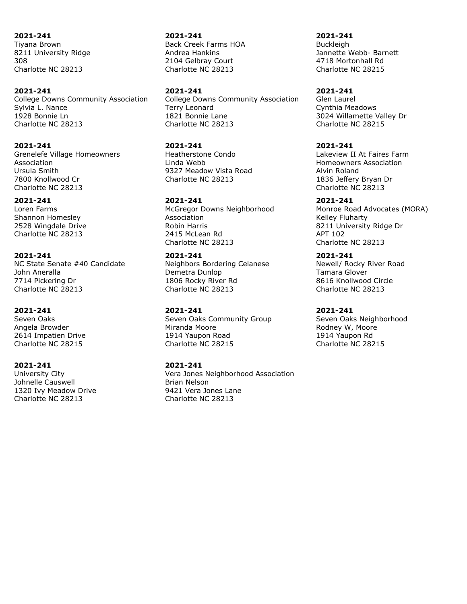**2021-241** Tiyana Brown 8211 University Ridge 308 Charlotte NC 28213

#### **2021-241**

College Downs Community Association Sylvia L. Nance 1928 Bonnie Ln Charlotte NC 28213

#### **2021-241**

Grenelefe Village Homeowners Association Ursula Smith 7800 Knollwood Cr Charlotte NC 28213

## **2021-241**

Loren Farms Shannon Homesley 2528 Wingdale Drive Charlotte NC 28213

### **2021-241**

NC State Senate #40 Candidate John Aneralla 7714 Pickering Dr Charlotte NC 28213

### **2021-241**

Seven Oaks Angela Browder 2614 Impatien Drive Charlotte NC 28215

#### **2021-241**

University City Johnelle Causwell 1320 Ivy Meadow Drive Charlotte NC 28213

**2021-241** Back Creek Farms HOA Andrea Hankins 2104 Gelbray Court Charlotte NC 28213

**2021-241** College Downs Community Association Terry Leonard 1821 Bonnie Lane Charlotte NC 28213

**2021-241** Heatherstone Condo Linda Webb 9327 Meadow Vista Road Charlotte NC 28213

# **2021-241**

McGregor Downs Neighborhood Association Robin Harris 2415 McLean Rd Charlotte NC 28213

## **2021-241**

Neighbors Bordering Celanese Demetra Dunlop 1806 Rocky River Rd Charlotte NC 28213

### **2021-241**

Seven Oaks Community Group Miranda Moore 1914 Yaupon Road Charlotte NC 28215

## **2021-241**

Vera Jones Neighborhood Association Brian Nelson 9421 Vera Jones Lane Charlotte NC 28213

**2021-241 Buckleigh** Jannette Webb- Barnett 4718 Mortonhall Rd Charlotte NC 28215

**2021-241** Glen Laurel Cynthia Meadows 3024 Willamette Valley Dr Charlotte NC 28215

#### **2021-241**

Lakeview II At Faires Farm Homeowners Association Alvin Roland 1836 Jeffery Bryan Dr Charlotte NC 28213

#### **2021-241**

Monroe Road Advocates (MORA) Kelley Fluharty 8211 University Ridge Dr APT 102 Charlotte NC 28213

**2021-241**

Newell/ Rocky River Road Tamara Glover 8616 Knollwood Circle Charlotte NC 28213

#### **2021-241**

Seven Oaks Neighborhood Rodney W, Moore 1914 Yaupon Rd Charlotte NC 28215